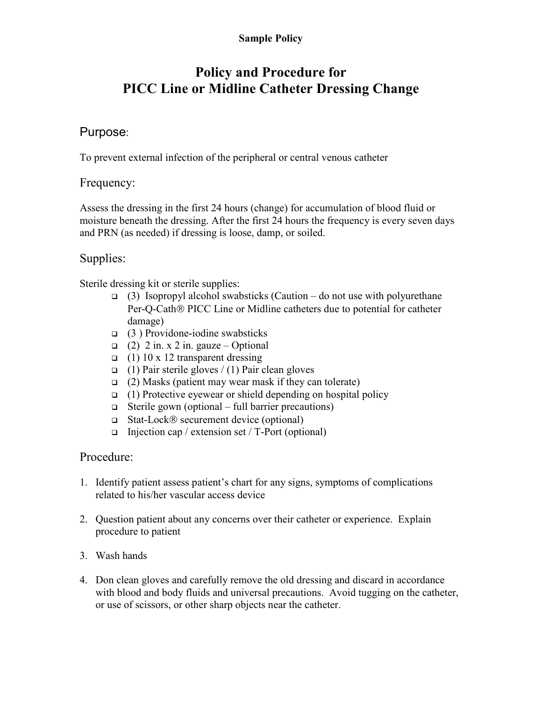#### Sample Policy

# Policy and Procedure for PICC Line or Midline Catheter Dressing Change

### Purpose:

To prevent external infection of the peripheral or central venous catheter

#### Frequency:

Assess the dressing in the first 24 hours (change) for accumulation of blood fluid or moisture beneath the dressing. After the first 24 hours the frequency is every seven days and PRN (as needed) if dressing is loose, damp, or soiled.

## Supplies:

Sterile dressing kit or sterile supplies:

- (3) Isopropyl alcohol swabsticks (Caution do not use with polyurethane Per-O-Cath<sup>®</sup> PICC Line or Midline catheters due to potential for catheter damage)
- $\Box$  (3) Providone-iodine swabsticks
- $\Box$  (2) 2 in. x 2 in. gauze Optional
- $\Box$  (1) 10 x 12 transparent dressing
- $\Box$  (1) Pair sterile gloves / (1) Pair clean gloves
- $\Box$  (2) Masks (patient may wear mask if they can tolerate)
- $\Box$  (1) Protective eyewear or shield depending on hospital policy
- $\Box$  Sterile gown (optional full barrier precautions)
- $\Box$  Stat-Lock ® securement device (optional)
- Injection cap / extension set /  $T$ -Port (optional)

#### Procedure:

- 1. Identify patient assess patient's chart for any signs, symptoms of complications related to his/her vascular access device
- 2. Question patient about any concerns over their catheter or experience. Explain procedure to patient
- 3. Wash hands
- 4. Don clean gloves and carefully remove the old dressing and discard in accordance with blood and body fluids and universal precautions. Avoid tugging on the catheter, or use of scissors, or other sharp objects near the catheter.